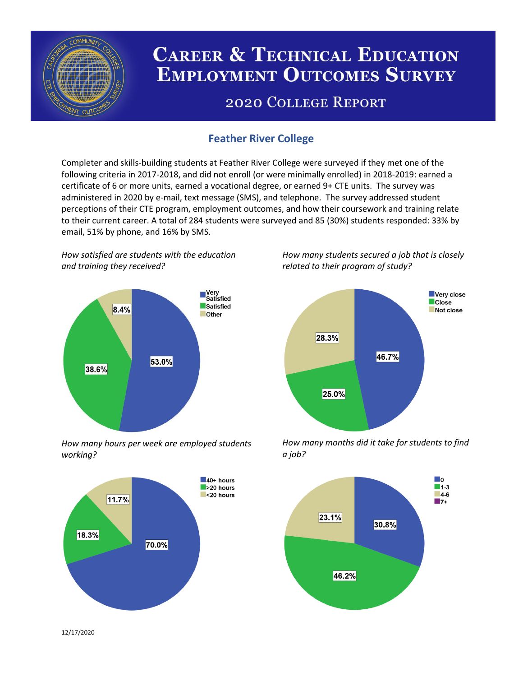

# **CAREER & TECHNICAL EDUCATION EMPLOYMENT OUTCOMES SURVEY**

## **2020 COLLEGE REPORT**

## **Feather River College**

Completer and skills-building students at Feather River College were surveyed if they met one of the following criteria in 2017-2018, and did not enroll (or were minimally enrolled) in 2018-2019: earned a certificate of 6 or more units, earned a vocational degree, or earned 9+ CTE units. The survey was administered in 2020 by e-mail, text message (SMS), and telephone. The survey addressed student perceptions of their CTE program, employment outcomes, and how their coursework and training relate to their current career. A total of 284 students were surveyed and 85 (30%) students responded: 33% by email, 51% by phone, and 16% by SMS.

*How satisfied are students with the education and training they received?*



*How many hours per week are employed students working?*



*How many students secured a job that is closely related to their program of study?*



*How many months did it take for students to find a job?*



12/17/2020